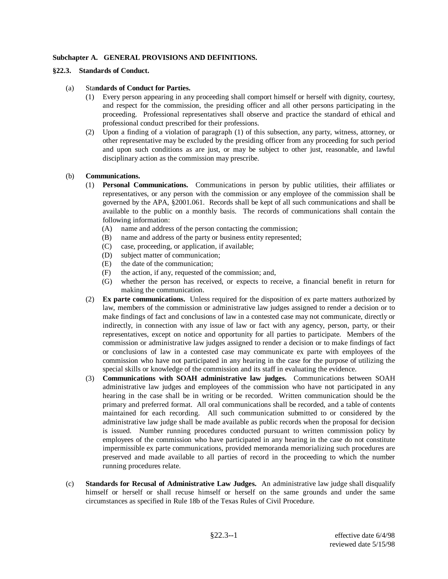# **Subchapter A. GENERAL PROVISIONS AND DEFINITIONS.**

#### **§22.3. Standards of Conduct.**

## (a) Sta**ndards of Conduct for Parties.**

- (1) Every person appearing in any proceeding shall comport himself or herself with dignity, courtesy, and respect for the commission, the presiding officer and all other persons participating in the proceeding. Professional representatives shall observe and practice the standard of ethical and professional conduct prescribed for their professions.
- (2) Upon a finding of a violation of paragraph (1) of this subsection, any party, witness, attorney, or other representative may be excluded by the presiding officer from any proceeding for such period and upon such conditions as are just, or may be subject to other just, reasonable, and lawful disciplinary action as the commission may prescribe.

## (b) **Communications.**

- (1) **Personal Communications.** Communications in person by public utilities, their affiliates or representatives, or any person with the commission or any employee of the commission shall be governed by the APA, §2001.061. Records shall be kept of all such communications and shall be available to the public on a monthly basis. The records of communications shall contain the following information:
	- (A) name and address of the person contacting the commission;
	- (B) name and address of the party or business entity represented;
	- (C) case, proceeding, or application, if available;
	- (D) subject matter of communication;
	- (E) the date of the communication;
	- (F) the action, if any, requested of the commission; and,
	- (G) whether the person has received, or expects to receive, a financial benefit in return for making the communication.
- (2) **Ex parte communications.** Unless required for the disposition of ex parte matters authorized by law, members of the commission or administrative law judges assigned to render a decision or to make findings of fact and conclusions of law in a contested case may not communicate, directly or indirectly, in connection with any issue of law or fact with any agency, person, party, or their representatives, except on notice and opportunity for all parties to participate. Members of the commission or administrative law judges assigned to render a decision or to make findings of fact or conclusions of law in a contested case may communicate ex parte with employees of the commission who have not participated in any hearing in the case for the purpose of utilizing the special skills or knowledge of the commission and its staff in evaluating the evidence.
- (3) **Communications with SOAH administrative law judges.** Communications between SOAH administrative law judges and employees of the commission who have not participated in any hearing in the case shall be in writing or be recorded. Written communication should be the primary and preferred format. All oral communications shall be recorded, and a table of contents maintained for each recording. All such communication submitted to or considered by the administrative law judge shall be made available as public records when the proposal for decision is issued. Number running procedures conducted pursuant to written commission policy by employees of the commission who have participated in any hearing in the case do not constitute impermissible ex parte communications, provided memoranda memorializing such procedures are preserved and made available to all parties of record in the proceeding to which the number running procedures relate.
- (c) **Standards for Recusal of Administrative Law Judges.** An administrative law judge shall disqualify himself or herself or shall recuse himself or herself on the same grounds and under the same circumstances as specified in Rule 18b of the Texas Rules of Civil Procedure.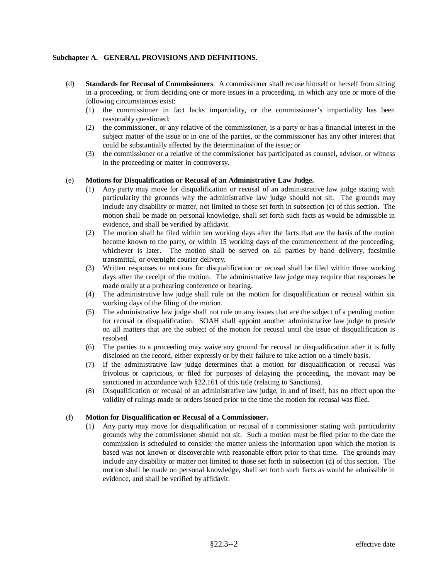# **Subchapter A. GENERAL PROVISIONS AND DEFINITIONS.**

- (d) **Standards for Recusal of Commissioners**. A commissioner shall recuse himself or herself from sitting in a proceeding, or from deciding one or more issues in a proceeding, in which any one or more of the following circumstances exist:
	- (1) the commissioner in fact lacks impartiality, or the commissioner's impartiality has been reasonably questioned;
	- (2) the commissioner, or any relative of the commissioner, is a party or has a financial interest in the subject matter of the issue or in one of the parties, or the commissioner has any other interest that could be substantially affected by the determination of the issue; or
	- (3) the commissioner or a relative of the commissioner has participated as counsel, advisor, or witness in the proceeding or matter in controversy.

## (e) **Motions for Disqualification or Recusal of an Administrative Law Judge.**

- (1) Any party may move for disqualification or recusal of an administrative law judge stating with particularity the grounds why the administrative law judge should not sit. The grounds may include any disability or matter, not limited to those set forth in subsection (c) of this section. The motion shall be made on personal knowledge, shall set forth such facts as would be admissible in evidence, and shall be verified by affidavit.
- (2) The motion shall be filed within ten working days after the facts that are the basis of the motion become known to the party, or within 15 working days of the commencement of the proceeding, whichever is later. The motion shall be served on all parties by hand delivery, facsimile transmittal, or overnight courier delivery.
- (3) Written responses to motions for disqualification or recusal shall be filed within three working days after the receipt of the motion. The administrative law judge may require that responses be made orally at a prehearing conference or hearing.
- (4) The administrative law judge shall rule on the motion for disqualification or recusal within six working days of the filing of the motion.
- (5) The administrative law judge shall not rule on any issues that are the subject of a pending motion for recusal or disqualification. SOAH shall appoint another administrative law judge to preside on all matters that are the subject of the motion for recusal until the issue of disqualification is resolved.
- (6) The parties to a proceeding may waive any ground for recusal or disqualification after it is fully disclosed on the record, either expressly or by their failure to take action on a timely basis.
- (7) If the administrative law judge determines that a motion for disqualification or recusal was frivolous or capricious, or filed for purposes of delaying the proceeding, the movant may be sanctioned in accordance with §22.161 of this title (relating to Sanctions).
- (8) Disqualification or recusal of an administrative law judge, in and of itself, has no effect upon the validity of rulings made or orders issued prior to the time the motion for recusal was filed.

#### (f) **Motion for Disqualification or Recusal of a Commissioner.**

Any party may move for disqualification or recusal of a commissioner stating with particularity grounds why the commissioner should not sit. Such a motion must be filed prior to the date the commission is scheduled to consider the matter unless the information upon which the motion is based was not known or discoverable with reasonable effort prior to that time. The grounds may include any disability or matter not limited to those set forth in subsection (d) of this section. The motion shall be made on personal knowledge, shall set forth such facts as would be admissible in evidence, and shall be verified by affidavit.